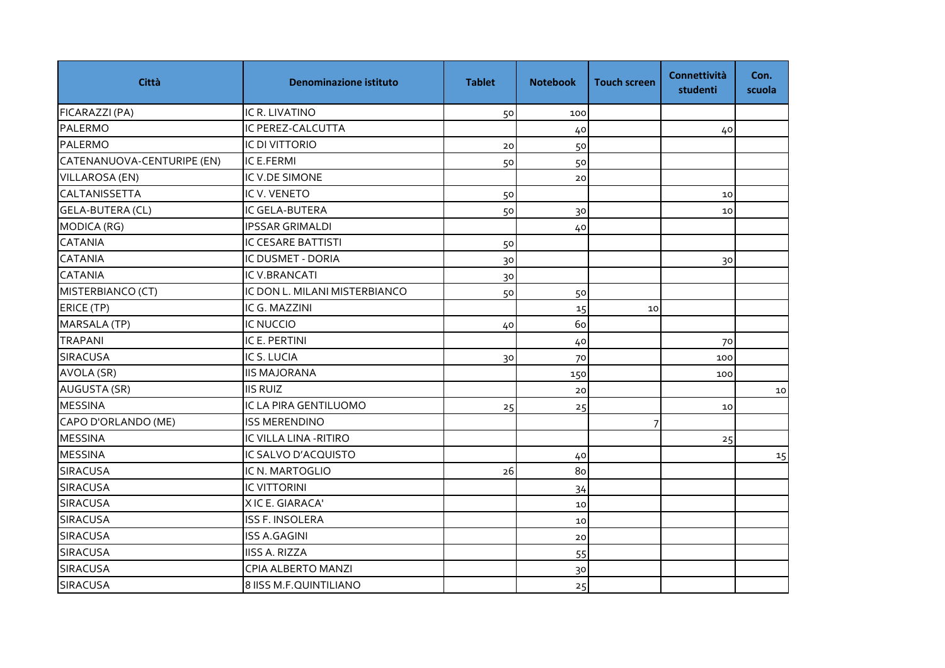| Città                      | <b>Denominazione istituto</b> | <b>Tablet</b> | <b>Notebook</b> | <b>Touch screen</b> | Connettività<br>studenti | Con.<br>scuola |
|----------------------------|-------------------------------|---------------|-----------------|---------------------|--------------------------|----------------|
| FICARAZZI (PA)             | IC R. LIVATINO                | 50            | 100             |                     |                          |                |
| PALERMO                    | IC PEREZ-CALCUTTA             |               | 40              |                     | 40                       |                |
| <b>PALERMO</b>             | <b>IC DI VITTORIO</b>         | 20            | 50              |                     |                          |                |
| CATENANUOVA-CENTURIPE (EN) | IC E.FERMI                    | 50            | 50              |                     |                          |                |
| VILLAROSA (EN)             | IC V.DE SIMONE                |               | 20              |                     |                          |                |
| <b>CALTANISSETTA</b>       | IC V. VENETO                  | 50            |                 |                     | 10                       |                |
| <b>GELA-BUTERA (CL)</b>    | IC GELA-BUTERA                | 50            | 30              |                     | 10                       |                |
| MODICA (RG)                | <b>IPSSAR GRIMALDI</b>        |               | 40              |                     |                          |                |
| <b>CATANIA</b>             | IC CESARE BATTISTI            | 50            |                 |                     |                          |                |
| <b>CATANIA</b>             | IC DUSMET - DORIA             | 30            |                 |                     | 30                       |                |
| <b>CATANIA</b>             | IC V.BRANCATI                 | 30            |                 |                     |                          |                |
| MISTERBIANCO (CT)          | IC DON L. MILANI MISTERBIANCO | 50            | 50              |                     |                          |                |
| ERICE (TP)                 | IC G. MAZZINI                 |               | 15              | 10                  |                          |                |
| MARSALA (TP)               | <b>IC NUCCIO</b>              | 40            | 60              |                     |                          |                |
| <b>TRAPANI</b>             | IC E. PERTINI                 |               | 40              |                     | 70                       |                |
| <b>SIRACUSA</b>            | IC S. LUCIA                   | 30            | 70              |                     | 100                      |                |
| AVOLA (SR)                 | <b>IIS MAJORANA</b>           |               | 150             |                     | 100                      |                |
| AUGUSTA (SR)               | <b>IIS RUIZ</b>               |               | 20              |                     |                          | 10             |
| <b>MESSINA</b>             | IC LA PIRA GENTILUOMO         | 25            | 25              |                     | 10                       |                |
| CAPO D'ORLANDO (ME)        | <b>ISS MERENDINO</b>          |               |                 |                     |                          |                |
| <b>MESSINA</b>             | IC VILLA LINA - RITIRO        |               |                 |                     | 25                       |                |
| <b>MESSINA</b>             | IC SALVO D'ACQUISTO           |               | 40              |                     |                          | 15             |
| <b>SIRACUSA</b>            | IC N. MARTOGLIO               | 26            | 80              |                     |                          |                |
| <b>SIRACUSA</b>            | <b>IC VITTORINI</b>           |               | 34              |                     |                          |                |
| <b>SIRACUSA</b>            | XICE. GIARACA'                |               | 10              |                     |                          |                |
| <b>SIRACUSA</b>            | <b>ISS F. INSOLERA</b>        |               | 10              |                     |                          |                |
| <b>SIRACUSA</b>            | <b>ISS A.GAGINI</b>           |               | 20              |                     |                          |                |
| <b>SIRACUSA</b>            | <b>IISS A. RIZZA</b>          |               | 55              |                     |                          |                |
| <b>SIRACUSA</b>            | CPIA ALBERTO MANZI            |               | 30              |                     |                          |                |
| <b>SIRACUSA</b>            | 8 IISS M.F.QUINTILIANO        |               | 25              |                     |                          |                |